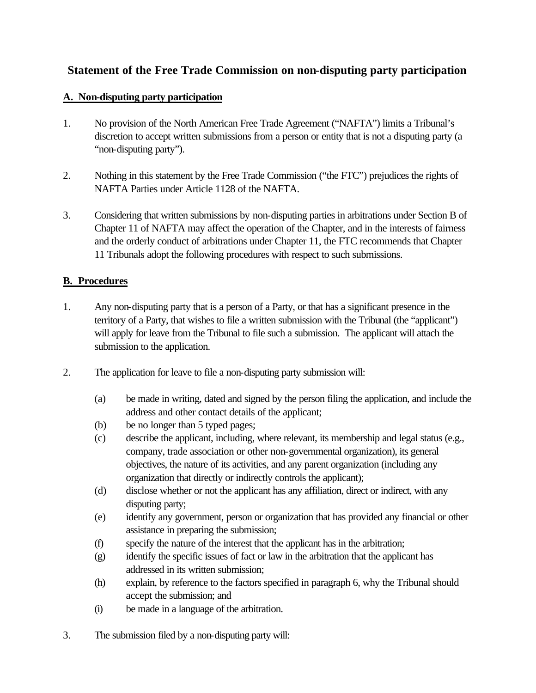## **Statement of the Free Trade Commission on non-disputing party participation**

## **A. Non-disputing party participation**

- 1. No provision of the North American Free Trade Agreement ("NAFTA") limits a Tribunal's discretion to accept written submissions from a person or entity that is not a disputing party (a "non-disputing party").
- 2. Nothing in this statement by the Free Trade Commission ("the FTC") prejudices the rights of NAFTA Parties under Article 1128 of the NAFTA.
- 3. Considering that written submissions by non-disputing parties in arbitrations under Section B of Chapter 11 of NAFTA may affect the operation of the Chapter, and in the interests of fairness and the orderly conduct of arbitrations under Chapter 11, the FTC recommends that Chapter 11 Tribunals adopt the following procedures with respect to such submissions.

## **B. Procedures**

- 1. Any non-disputing party that is a person of a Party, or that has a significant presence in the territory of a Party, that wishes to file a written submission with the Tribunal (the "applicant") will apply for leave from the Tribunal to file such a submission. The applicant will attach the submission to the application.
- 2. The application for leave to file a non-disputing party submission will:
	- (a) be made in writing, dated and signed by the person filing the application, and include the address and other contact details of the applicant;
	- (b) be no longer than 5 typed pages;
	- (c) describe the applicant, including, where relevant, its membership and legal status (e.g., company, trade association or other non-governmental organization), its general objectives, the nature of its activities, and any parent organization (including any organization that directly or indirectly controls the applicant);
	- (d) disclose whether or not the applicant has any affiliation, direct or indirect, with any disputing party;
	- (e) identify any government, person or organization that has provided any financial or other assistance in preparing the submission;
	- (f) specify the nature of the interest that the applicant has in the arbitration;
	- (g) identify the specific issues of fact or law in the arbitration that the applicant has addressed in its written submission;
	- (h) explain, by reference to the factors specified in paragraph 6, why the Tribunal should accept the submission; and
	- (i) be made in a language of the arbitration.
- 3. The submission filed by a non-disputing party will: